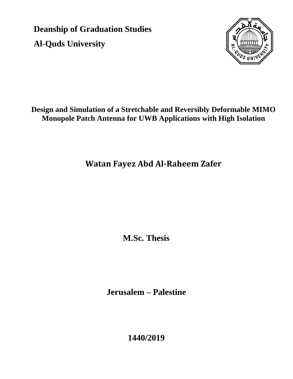**Deanship of Graduation Studies Al-Quds University**



#### **Design and Simulation of a Stretchable and Reversibly Deformable MIMO Monopole Patch Antenna for UWB Applications with High Isolation**

# **Watan Fayez Abd Al-Raheem Zafer**

**M.Sc. Thesis**

**Jerusalem – Palestine**

**1440/2019**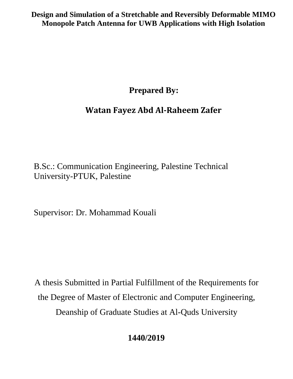**Design and Simulation of a Stretchable and Reversibly Deformable MIMO Monopole Patch Antenna for UWB Applications with High Isolation**

 **Prepared By:**

## **Watan Fayez Abd Al-Raheem Zafer**

B.Sc.: Communication Engineering, Palestine Technical University-PTUK, Palestine

Supervisor: Dr. Mohammad Kouali

A thesis Submitted in Partial Fulfillment of the Requirements for the Degree of Master of Electronic and Computer Engineering, Deanship of Graduate Studies at Al-Quds University

## **1440/2019**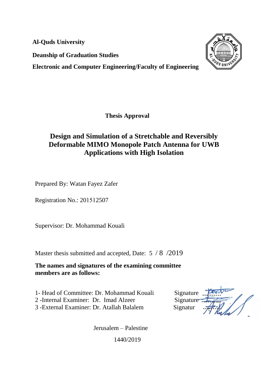**Al-Quds University**

**Deanship of Graduation Studies**

**Electronic and Computer Engineering/Faculty of Engineering**



**Thesis Approval**

#### **Design and Simulation of a Stretchable and Reversibly Deformable MIMO Monopole Patch Antenna for UWB Applications with High Isolation**

Prepared By: Watan Fayez Zafer

Registration No.: 201512507

Supervisor: Dr. Mohammad Kouali

Master thesis submitted and accepted, Date: 5 / 8 /2019

**The names and signatures of the examining committee members are as follows:**

1- Head of Committee: Dr. Mohammad Kouali Signature

2 -Internal Examiner: Dr. Imad Alzeer Signature

3 -External Examiner: Dr. Atallah Balalem Signatur

Jerusalem – Palestine 1440/2019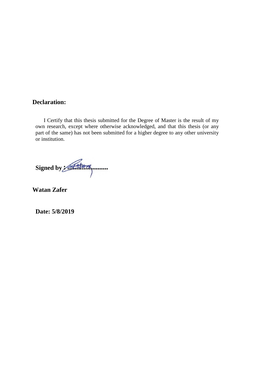#### **Declaration:**

 I Certify that this thesis submitted for the Degree of Master is the result of my own research, except where otherwise acknowledged, and that this thesis (or any part of the same) has not been submitted for a higher degree to any other university or institution.

Signed by Attack

**Watan Zafer**

**Date: 5/8/2019**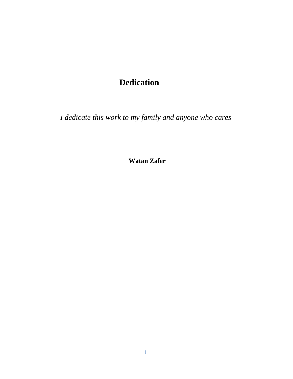## **Dedication**

*I dedicate this work to my family and anyone who cares*

**Watan Zafer**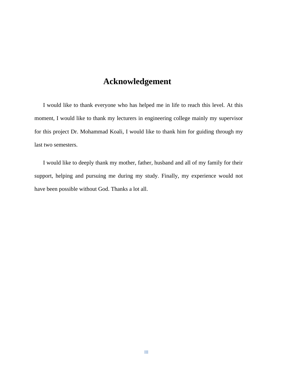## **Acknowledgement**

 I would like to thank everyone who has helped me in life to reach this level. At this moment, I would like to thank my lecturers in engineering college mainly my supervisor for this project Dr. Mohammad Koali, I would like to thank him for guiding through my last two semesters.

 I would like to deeply thank my mother, father, husband and all of my family for their support, helping and pursuing me during my study. Finally, my experience would not have been possible without God. Thanks a lot all.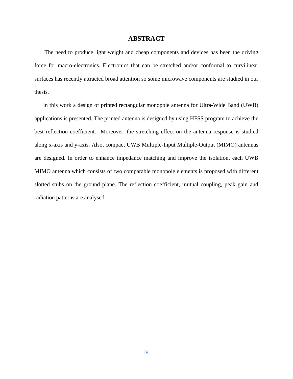#### **ABSTRACT**

 The need to produce light weight and cheap components and devices has been the driving force for macro-electronics. Electronics that can be stretched and/or conformal to curvilinear surfaces has recently attracted broad attention so some microwave components are studied in our thesis.

 In this work a design of printed rectangular monopole antenna for Ultra-Wide Band (UWB) applications is presented. The printed antenna is designed by using HFSS program to achieve the best reflection coefficient. Moreover, the stretching effect on the antenna response is studied along x-axis and y-axis. Also, compact UWB Multiple-Input Multiple-Output (MIMO) antennas are designed. In order to enhance impedance matching and improve the isolation, each UWB MIMO antenna which consists of two comparable monopole elements is proposed with different slotted stubs on the ground plane. The reflection coefficient, mutual coupling, peak gain and radiation patterns are analysed.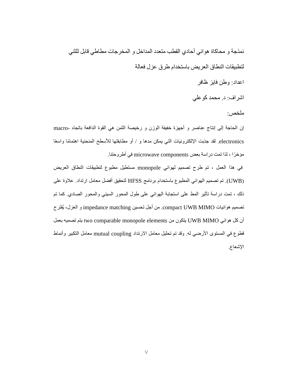نمذجة و محاكاة هوائي أحادي القطب متعدد المداخل و المخرجات مطاطي قابل للثني لتطبيقات النطاق العريض باستخدام طرق عزل فعالة

اعداد: وطن فايز ظافر

اشراف: د. محمد كوعلي

ملخص:

إن الحاجة إلى إنتاج عناصر و أجهزة خفيفة الوزن و رخيصة الثمن هي القوة الدافعة باتجاه -macro electronics. لقد جذبت الإلكترونيات التي يمكن مدها و / أو مطابقتها للأسطح المنحنية اهتمامًا واسعًا مؤخرًا ، لذا تمت دراسة بعض microwave components في أطروحتنا.

في هذا العمل ، تم طرح تصميم لهوائي monopole مستطيل مطبوع لتطبيقات النطاق العريض )UWB). تم تصميم الهوائي المطبوع باستخدام برنامج HFSS لتحقيق أفضل معامل ارتداد. عالوة على ذلك ، تمت دراسة تأثير المط على استجابة الهوائي على طول المحور السيني والمحور الصادي. كما تم تصميم هوائيات MIMO UWB compact. من أجل تحسين matching impedance و العزل، يُقترح أن كل هوائي MIMO UWB يتكون من elements monopole comparable two يتم تصميه بعمل قطوع في المستوى الأرضـي له. وقد تم تحليل معامل الارتداد mutual coupling معامل التكبير وأنماط اإلشعاع.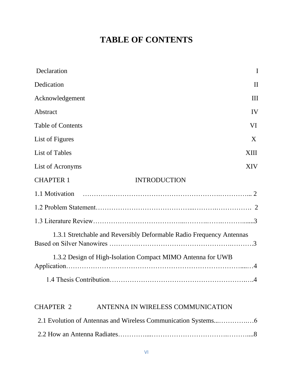# **TABLE OF CONTENTS**

| Declaration<br>I                                                     |
|----------------------------------------------------------------------|
| Dedication<br>$\rm II$                                               |
| Acknowledgement<br>Ш                                                 |
| Abstract<br>IV                                                       |
| <b>Table of Contents</b><br>VI                                       |
| List of Figures<br>X                                                 |
| <b>List of Tables</b><br>XIII                                        |
| List of Acronyms<br><b>XIV</b>                                       |
| <b>CHAPTER 1</b><br><b>INTRODUCTION</b>                              |
| 1.1 Motivation                                                       |
|                                                                      |
|                                                                      |
| 1.3.1 Stretchable and Reversibly Deformable Radio Frequency Antennas |
| 1.3.2 Design of High-Isolation Compact MIMO Antenna for UWB          |
|                                                                      |
| ANTENNA IN WIRELESS COMMUNICATION<br><b>CHAPTER 2</b>                |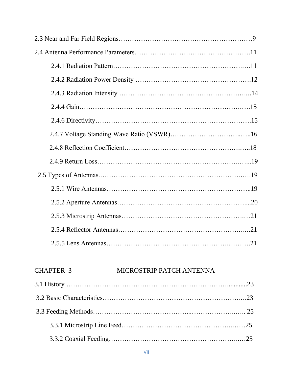## CHAPTER 3 MICROSTRIP PATCH ANTENNA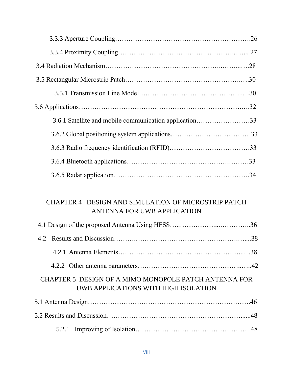| 3.6.1 Satellite and mobile communication application33 |  |
|--------------------------------------------------------|--|
|                                                        |  |
|                                                        |  |
|                                                        |  |
|                                                        |  |

#### CHAPTER 4 DESIGN AND SIMULATION OF MICROSTRIP PATCH ANTENNA FOR UWB APPLICATION

| CHAPTER 5 DESIGN OF A MIMO MONOPOLE PATCH ANTENNA FOR<br>UWB APPLICATIONS WITH HIGH ISOLATION |  |
|-----------------------------------------------------------------------------------------------|--|
|                                                                                               |  |
|                                                                                               |  |
|                                                                                               |  |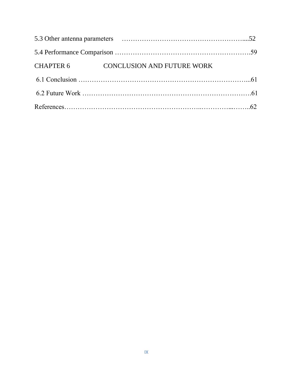| CHAPTER 6 CONCLUSION AND FUTURE WORK |  |
|--------------------------------------|--|
|                                      |  |
|                                      |  |
|                                      |  |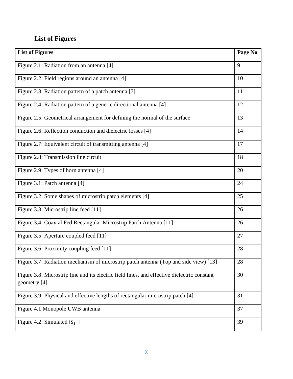## **List of Figures**

| <b>List of Figures</b>                                                                                      | Page No |
|-------------------------------------------------------------------------------------------------------------|---------|
| Figure 2.1: Radiation from an antenna [4]                                                                   | 9       |
| Figure 2.2: Field regions around an antenna [4]                                                             | 10      |
| Figure 2.3: Radiation pattern of a patch antenna [7]                                                        | 11      |
| Figure 2.4: Radiation pattern of a generic directional antenna [4]                                          | 12      |
| Figure 2.5: Geometrical arrangement for defining the normal of the surface                                  | 13      |
| Figure 2.6: Reflection conduction and dielectric losses [4]                                                 | 14      |
| Figure 2.7: Equivalent circuit of transmitting antenna [4]                                                  | 17      |
| Figure 2.8: Transmission line circuit                                                                       | 18      |
| Figure 2.9: Types of horn antenna [4]                                                                       | 20      |
| Figure 3.1: Patch antenna [4]                                                                               | 24      |
| Figure 3.2: Some shapes of microstrip patch elements [4]                                                    | 25      |
| Figure 3.3: Microstrip line feed [11]                                                                       | 26      |
| Figure 3.4: Coaxial Fed Rectangular Microstrip Patch Antenna [11]                                           | 26      |
| Figure 3.5: Aperture coupled feed [11]                                                                      | 27      |
| Figure 3.6: Proximity coupling feed [11]                                                                    | 28      |
| Figure 3.7: Radiation mechanism of microstrip patch antenna (Top and side view) [13]                        | 28      |
| Figure 3.8: Microstrip line and its electric field lines, and effective dielectric constant<br>geometry [4] | 30      |
| Figure 3.9: Physical and effective lengths of rectangular microstrip patch [4]                              | 31      |
| Figure 4.1 Monopole UWB antenna                                                                             | 37      |
| Figure 4.2: Simulated $ S_{11} $                                                                            | 39      |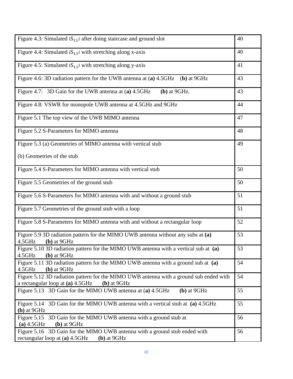| Figure 4.3: Simulated $ S_{11} $ after doing staircase and ground slot                                                                      | 40 |
|---------------------------------------------------------------------------------------------------------------------------------------------|----|
| Figure 4.4: Simulated $ S_{11} $ with stretching along x-axis                                                                               | 40 |
| Figure 4.5: Simulated $ S_{11} $ with stretching along y-axis                                                                               | 41 |
| Figure 4.6: 3D radiation pattern for the UWB antenna at (a) 4.5GHz (b) at 9GHz                                                              | 43 |
| Figure 4.7: 3D Gain for the UWB antenna at (a) 4.5GHz<br>$(b)$ at 9GHz.                                                                     | 43 |
| Figure 4.8: VSWR for monopole UWB antenna at 4.5GHz and 9GHz                                                                                | 44 |
| Figure 5.1 The top view of the UWB MIMO antenna                                                                                             | 47 |
| Figure 5.2 S-Parameters for MIMO antenna                                                                                                    | 48 |
| Figure 5.3 (a) Geometries of MIMO antenna with vertical stub                                                                                | 49 |
| (b) Geometries of the stub                                                                                                                  |    |
| Figure 5.4 S-Parameters for MIMO antenna with vertical stub                                                                                 | 50 |
| Figure 5.5 Geometries of the ground stub                                                                                                    | 50 |
| Figure 5.6 S-Parameters for MIMO antenna with and without a ground stub                                                                     | 51 |
| Figure 5.7 Geometries of the ground stub with a loop                                                                                        | 51 |
| Figure 5.8 S-Parameters for MIMO antenna with and without a rectangular loop                                                                | 52 |
| Figure 5.9 3D radiation pattern for the MIMO UWB antenna without any subs at (a)<br>4.5GHz<br>$(b)$ at 9GHz                                 | 53 |
| Figure 5.10 3D radiation pattern for the MIMO UWB antenna with a vertical sub at (a)<br>4.5GHz<br>$(b)$ at $9GHz$                           | 53 |
| Figure 5.11 3D radiation pattern for the MIMO UWB antenna with a ground sub at (a)<br>4.5GHz<br>$(b)$ at $9GHz$                             | 54 |
| Figure 5.12 3D radiation pattern for the MIMO UWB antenna with a ground sub ended with<br>a rectangular loop at (a) 4.5GHz<br>$(b)$ at 9GHz | 54 |
| Figure 5.13 3D Gain for the MIMO UWB antenna at (a) 4.5GHz<br>$(b)$ at $9GHz$                                                               | 55 |
| Figure 5.14 3D Gain for the MIMO UWB antenna with a vertical stub at (a) 4.5GHz<br>$(b)$ at 9GHz                                            | 55 |
| Figure 5.15 3D Gain for the MIMO UWB antenna with a ground stub at<br>$(a)$ 4.5GHz<br>$(b)$ at $9GHz$                                       | 56 |
| Figure 5.16 3D Gain for the MIMO UWB antenna with a ground stub ended with<br>rectangular loop at (a) 4.5GHz<br>$(b)$ at 9GHz               | 56 |